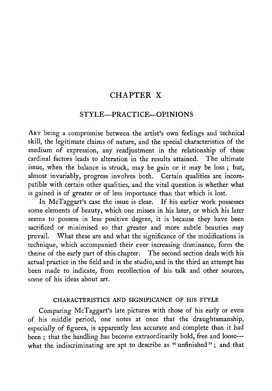### CHAPTER X

### STYLE—PRACTICE-OPINIONS

Art being <sup>a</sup> compromise between the artist's own feelings and technical skill, the legitimate claims of nature, and the special characteristics of the medium of expression, any readjustment in the relationship of these cardinal factors leads to alteration in the results attained. The ultimate issue, when the balance is struck, may be gain or it may be loss ; but, almost invariably, progress involves both. Certain qualities are incompatible with certain other qualities, and the vital question is whether what is gained is of greater or of less importance than that which is lost.

In McTaggart's case the issue is clear. If his earlier work possesses some elements of beauty, which one misses in his later, or which his later seems to possess in less positive degree, it is because they have been sacrificed or minimised so that greater and more subtle beauties may prevail. What these are and what the significance of the modifications in technique, which accompanied their ever increasing dominance, form the theme of the early part of this chapter. The second section deals with his actual practice in the field and in the studio, and in the third an attempt has been made to indicate, from recollection of his talk and other sources, some of his ideas about art.

#### CHARACTERISTICS AND SIGNIFICANCE OF HIS STYLE

Comparing McTaggart's late pictures with those of his early or even of his middle period, one notes at once that the draughtsmanship, especially of figures, is apparently less accurate and complete than it had been ; that the handling has become extraordinarily bold, free and loose what the indiscriminating are apt to describe as "unfinished"; and that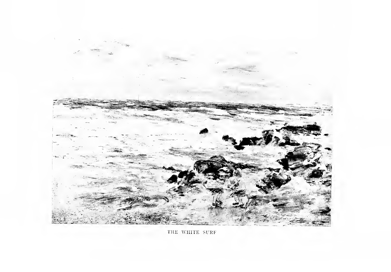

THE WHITE SURF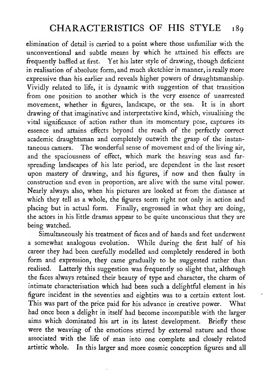# CHARACTERISTICS OF HIS STYLE 189

elimination of detail is carried to a point where those unfamiliar with the unconventional and subtle means by which he attained his effects are frequently baffled at first. Yet his later style of drawing, though deficient in realisation of absolute form, and much sketchier in manner, is really more expressive than his earlier and reveals higher powers of draughtsmanship. Vividly related to life, it is dynamic with suggestion of that transition from one position to another which is the very essence of unarrested movement, whether in figures, landscape, or the sea. It is in short drawing of that imaginative and interpretative kind, which, visualising the vital significance of action rather than its momentary pose, captures its essence and attains effects beyond the reach of the perfectly correct academic draughtsman and completely outwith the grasp of the instantaneous camera. The wonderful sense of movement and of the living air, and the spaciousness of effect, which mark the heaving seas and far spreading landscapes of his late period, are dependent in the last resort upon mastery of drawing, and his figures, if now and then faulty in construction and even in proportion, are alive with the same vital power. Nearly always also, when his pictures are looked at from the distance at which they tell as a whole, the figures seem right not only in action and placing but in actual form. Finally, engrossed in what they are doing, the actors in his little dramas appear to be quite unconscious that they are being watched.

Simultaneously his treatment of faces and of hands and feet underwent a somewhat analogous evolution. While during the first half of his career they had been carefully modelled and completely rendered in both form and expression, they came gradually to be suggested rather than realised. Latterly this suggestion was frequently so slight that, although the faces always retained their beauty of type and character, the charm of intimate characterisation which had been such a delightful element in his figure incident in the seventies and eighties was to a certain extent lost. This was part of the price paid for his advance in creative power. What had once been <sup>a</sup> delight in itself had become incompatible with the larger aims which dominated his art in its latest development. Briefly these were the weaving of the emotions stirred by external nature and those associated with the life of man into one complete and closely related artistic whole. In this larger and more cosmic conception figures and all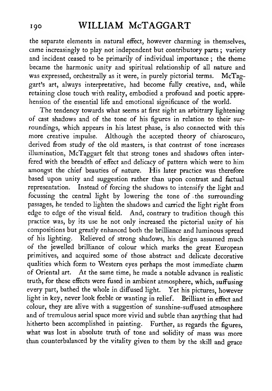the separate elements in natural effect, however charming in themselves, came increasingly to play not independent but contributory parts ; variety and incident ceased to be primarily of individual importance ; the theme became the harmonic unity and spiritual relationship of all nature and was expressed, orchestrally as it were, in purely pictorial terms. McTaggart's art, always interpretative, had become fully creative, and, while retaining close touch with reality, embodied a profound and poetic apprehension of the essential life and emotional significance of the world.

The tendency towards what seems at first sight an arbitrary lightening of cast shadows and of the tone of his figures in relation to their sur roundings, which appears in his latest phase, is also connected with this more creative impulse. Although the accepted theory of chiaroscuro, derived from study of the old masters, is that contrast of tone increases illumination, McTaggart felt that strong tones and shadows often interfered with the breadth of effect and delicacy of pattern which were to him amongst the chief beauties of nature. His later practice was therefore based upon unity and suggestion rather than upon contrast and factual representation. Instead of forcing the shadows to intensify the light and focussing the central light by lowering the tone of the surrounding passages, he tended to lighten the shadows and carried the light right from edge to edge of the visual field. And, contrary to tradition though this practice was, by its use he not only increased the pictorial unity of his compositions but greatly enhanced both the brilliance and luminous spread of his lighting. Relieved of strong shadows, his design assumed much of the jewelled brilliance of colour which marks the great European primitives, and acquired some of those abstract and delicate decorative qualities which form to Western eyes perhaps the most immediate charm of Oriental art. At the same time, he made <sup>a</sup> notable advance in realistic truth, for these effects were fused in ambient atmosphere, which, suffusing every part, bathed the whole in diffused light. Yet his pictures, however light in key, never look feeble or wanting in relief. Brilliant in effect and colour, they are alive with a suggestion of sunshine-suffused atmosphere and of tremulous aerial space more vivid and subtle than anything that had hitherto been accomplished in painting. Further, as regards the figures, what was lost in absolute truth of tone and solidity of mass was more than counterbalanced by the vitality given to them by the skill and grace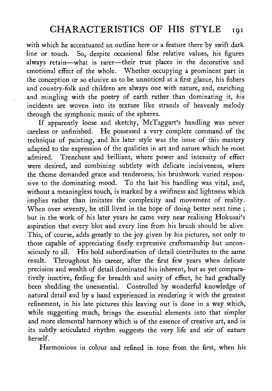with which he accentuated an outline here or a feature there by swift dark line or touch. So, despite occasional false relative values, his figures always retain—what is rarer—their true places in the decorative and emotional effect of the whole. Whether occupying a prominent part in the conception or so elusive as to be unnoticed at a first glance, his fishers and country-folk and children are always one with nature, and, enriching and mingling with the poetry of earth rather than dominating it, his incidents are woven into its texture like strands of heavenly melody through the symphonic music of the spheres.

If apparently loose and sketchy, McTaggart's handling was never careless or unfinished. He possessed <sup>a</sup> very complete command of the technique of painting, and his later style was the issue of this mastery adapted to the expression of the qualities in art and nature which he most admired. Trenchant and brilliant, where power and intensity of effect were desired, and combining subtlety with delicate incisiveness, where the theme demanded grace and tenderness, his brushwork varied responsive to the dominating mood. To the last his handling was vital, and, without a meaningless touch, is marked by a swiftness and lightness which implies rather than imitates the complexity and movement of reality. When over seventy, he still lived in the hope of doing better next time; but in the work of his later years he came very near realising Hokusai's aspiration that every blot and every line from his brush should be alive. This, of course, adds greatly to the joy given by his pictures, not only to those capable of appreciating finely expressive craftsmanship but unconsciously to all. His bold subordination of detail contributes to the same result. Throughout his career, after the first few years when delicate precision and wealth of detail dominated his inherent, but as yet comparatively inactive, feeling for breadth and unity of effect, he had gradually been shedding the unessential. Controlled by wonderful knowledge of natural detail and by a hand experienced in rendering it with the greatest refinement, in his late pictures this leaving out is done in a way which, while suggesting much, brings the essential elements into that simpler and more elemental harmony which is of the essence of creative art, and in its subtly articulated rhythm suggests the very life and stir of nature herself.

Harmonious in colour and refined in tone from the first, when his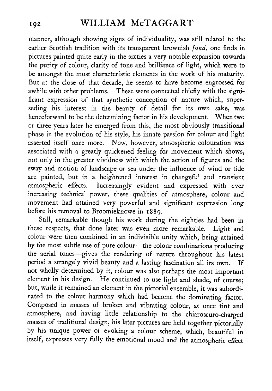manner, although showing signs of individuality, was still related to the earlier Scottish tradition with its transparent brownish fond, one finds in pictures painted quite early in the sixties a very notable expansion towards the purity of colour, clarity of tone and brilliance of light, which were to be amongst the most characteristic elements in the work of his maturity. But at the close of that decade, he seems to have become engrossed for awhile with other problems. These were connected chiefly with the significant expression of that synthetic conception of nature which, superseding his interest in the beauty of detail for its own sake, was henceforward to be the determining factor in his development. When two or three years later he emerged from this, the most obviously transitional phase in the evolution of his style, his innate passion for colour and light asserted itself once more. Now, however, atmospheric colouration was associated with a greatly quickened feeling for movement which shows, not only in the greater vividness with which the action of figures and the sway and motion of landscape or sea under the influence of wind or tide are painted, but in a heightened interest in changeful and transient atmospheric effects. Increasingly evident and expressed with ever increasing technical power, these qualities of atmosphere, colour and movement had attained very powerful and significant expression long before his removal to Broomieknowe in 1889.

Still, remarkable though his work during the eighties had been in these respects, that done later was even more remarkable. Light and colour were then combined in an indivisible unity which, being attained by the most subtle use of pure colour—the colour combinations producing the aerial tones—gives the rendering of nature throughout his latest period a strangely vivid beauty and a lasting fascination all its own. If not wholly determined by it, colour was also perhaps the most important element in his design. He continued to use light and shade, of course; but, while it remained an element in the pictorial ensemble, it was subordinated to the colour harmony which had become the dominating factor. Composed in masses of broken and vibrating colour, at once tint and atmosphere, and having little relationship to the chiaroscuro-charged masses of traditional design, his later pictures are held together pictorially by his unique power of evoking a colour scheme, which, beautiftil in itself, expresses very fully the emotional mood and the atmospheric effect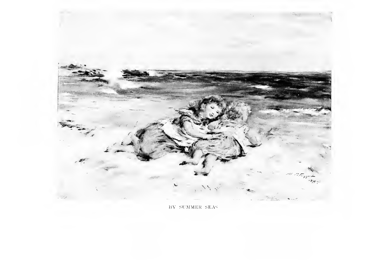

BY SUMMER SEAS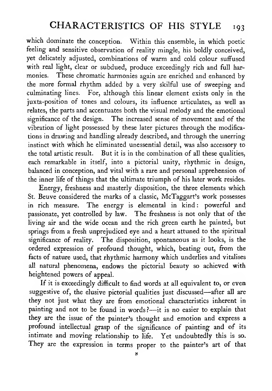# CHARACTERISTICS OF HIS STYLE 193

which dominate the conception. Within this ensemble, in which poetic feeling and sensitive observation of reality mingle, his boldly conceived, yet delicately adjusted, combinations of warm and cold colour suffused with real light, clear or subdued, produce exceedingly rich and full harmonies. These chromatic harmonies again are enriched and enhanced by the more formal rhythm added by a very skilful use of sweeping and culminating lines. For, although this linear element exists only in the juxta-position of tones and colours, its influence articulates, as well as relates, the parts and accentuates both the visual melody and the emotional significance of the design. The increased sense of movement and of the vibration of light possessed by these later pictures through the modifications in drawing and handling already described, and through the unerring instinct with which he eliminated unessential detail, was also accessory to the total artistic result. But it is in the combination of all these qualities, each remarkable in itself, into a pictorial unity, rhythmic in design, balanced in conception, and vital with a rare and personal apprehension of the inner life of things that the ultimate triumph of his later work resides.

Energy, freshness and masterly disposition, the three elements which St. Beuve considered the marks of a classic, McTaggart's work possesses in rich measure. The energy is elemental in kind: powerful and passionate, yet controlled by law. The freshness is not only that of the living air and the wide ocean and the rich green earth he painted, but springs from a fresh unprejudiced eye and a heart attuned to the spiritual significance of reality. The disposition, spontaneous as it looks, is the ordered expression of profound thought, which, beating out, from the facts of nature used, that rhythmic harmony which underlies and vitalises all natural phenomena, endows the pictorial beauty so achieved with heightened powers of appeal.

If it is exceedingly difficult to find words at all equivalent to, or even suggestive of, the elusive pictorial qualities just discussed—after all are they not just what they are from emotional characteristics inherent in painting and not to be found in words?--- it is no easier to explain that they are the issue of the painter's thought and emotion and express a profound intellectual grasp of the significance of painting and of its intimate and moving relationship to life. Yet undoubtedly this is so. They are the expression in terms proper to the painter's art of that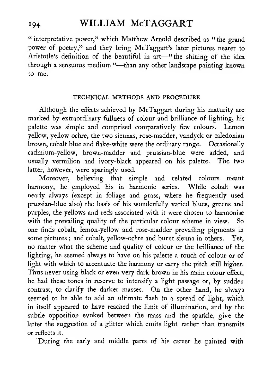" interpretative power," which Matthew Arnold described as "the grand power of poetry," and they bring McTaggart's later pictures nearer to Aristotle's definition of the beautiful in art—"the shining of the idea through <sup>a</sup> sensuous medium "—than any other landscape painting known to me.

#### TECHNICAL METHODS AND PROCEDURE

Although the effects achieved by McTaggart during his maturity are marked by extraordinary fullness of colour and brilliance of lighting, his palette was simple and comprised comparatively few colours. Lemon yellow, yellow ochre, the two siennas, rose-madder, vandyck or caledonian brown, cobalt blue and flake-white were the ordinary range. Occasionally cadmium-yellow, brown-madder and prussian-blue were added, and usually vermilion and ivory-black appeared on his palette. The two latter, however, were sparingly used.

Moreover, believing that simple and related colours meant harmony, he employed his in harmonic series. While cobalt was nearly always (except in foliage and grass, where he frequently used prussian-blue also) the basis of his wonderfully varied blues, greens and purples, the yellows and reds associated with it were chosen to harmonise with the prevailing quality of the particular colour scheme in view. So one finds cobalt, lemon-yellow and rose-madder prevailing pigments in some pictures ; and cobalt, yellow-ochre and burnt sienna in others. Yet, no matter what the scheme and quality of colour or the brilliance of the lighting, he seemed always to have on his palette a touch of colour or of light with which to accentuate the harmony or carry the pitch still higher. Thus never using black or even very dark brown in his main colour effect, he had these tones in reserve to intensify a light passage or, by sudden contrast, to clarify the darker masses. On the other hand, he always seemed to be able to add an ultimate flash to a spread of light, which in itself appeared to have reached the limit of illumination, and by the subtle opposition evoked between the mass and the sparkle, give the latter the suggestion of a glitter which emits light rather than transmits or reflects it.

During the early and middle parts of his career he painted with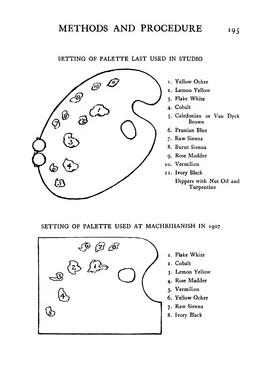# METHODS AND PROCEDURE 195

### SETTING OF PALETTE LAST USED IN STUDIO



- 1. Yellow Ochre
- 2. Lemon Yellow
- 3. Flake White
- 4. Cobalt
- 5. Caledonian or Van Dyck Brown
- 6. Prussian Blue
- 7. Raw Sienna
- 8. Burnt Sienna
- 9. Rose Madder
- 10. Vermilion
	- II. Ivory Black Dippers with Nut Oil and Turpentine

#### SETTING OF PALETTE USED AT MACHRIHANISH IN <sup>1907</sup>



- I. Flake White
- 2. Cobalt
- 3. Lemon Yellow
- 4. Rose Madder
- 5. Vermilion
- 6. Yellow Ochre
- 7. Raw Sienna
- 8. Ivory Black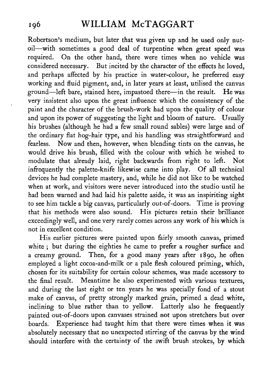Robertson's medium, but later that was given up and he used only nutoil—with sometimes <sup>a</sup> good deal of turpentine when great speed was required. On the other hand, there were times when no vehicle was considered necessary. But incited by the character of the effects he loved, and perhaps affected by his practice in water-colour, he preferred easy working and fluid pigment, and, in later years at least, utilised the canvas ground—^left bare, stained here, impastoed there—in the result. He was very insistent also upon the great influence which the consistency of the paint and the character of the brush-work had upon the quality of colour and upon its power of suggesting the light and bloom of nature. Usually his brushes (although he had a few small round sables) were large and of the ordinary flat hog-hair type, and his handling was straightforward and fearless. Now and then, however, when blending tints on the canvas, he would drive his brush, filled with the colour with which he wished to modulate that already laid, right backwards from right to left. Not infrequently the palette-knife likewise came into play. Of all technical devices he had complete mastery, and, while he did not like to be watched when at work, and visitors were never introduced into the studio until he had been warned and had laid his palette aside, it was an inspiriting sight to see him tackle <sup>a</sup> big canvas, particularly out-of-doors. Time is proving that his methods were also sound. His pictures retain their brilliance exceedingly well, and one very rarely comes across any work of his which is not in excellent condition.

His earlier pictures were painted upon fairly smooth canvas, primed white ; but during the eighties he came to prefer a rougher surface and <sup>a</sup> creamy ground. Then, for <sup>a</sup> good many years after 1890, he often employed a light cocoa-and-milk or a pale flesh coloured priming, which, chosen for its suitability for certain colour schemes, was made accessory to the final result. Meantime he also experimented with various textures, and during the last eight or ten years he was specially fond of a stout make of canvas, of pretty strongly marked grain, primed a dead white, inclining to blue rather than to yellow. Latterly also he frequently painted out-of-doors upon canvases strained not upon stretchers but over boards. Experience had taught him that there were times when it was absolutely necessary that no unexpected stirring of the canvas by the wind should interfere with the certainty of the swift brush strokes, by which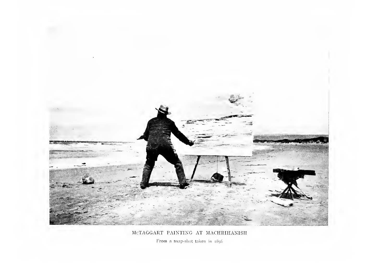

MCTAGGART PAINTING AT MACHRIHANISH

From a snap-shot taken in 1898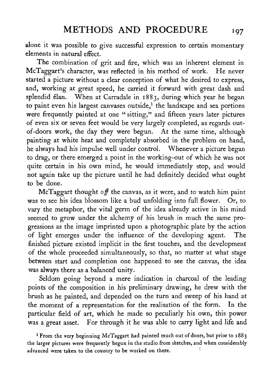alone it was possible to give successful expression to certain momentary elements in natural effect.

The combination of grit and fire, which was an inherent element in McTaggart's character, was reflected in his method of work. He never started a picture without a clear conception of what he desired to express, and, working at great speed, he carried it forward with great dash and splendid élan. When at Carradale in 1883, during which year he began to paint even his largest canvases outside,<sup>1</sup> the landscape and sea portions were frequently painted at one " sitting," and fifteen years later pictures of even six or seven feet would be very largely completed, as regards outof-doors work, the day they were begun. At the same time, although painting at white heat and completely absorbed in the problem on hand, he always had his impulse well under control. Whenever <sup>a</sup> picture began to drag, or there emerged a point in the working-out of which he was not quite certain in his own mind, he would immediately stop, and would not again take up the picture until he had definitely decided what ought to be done.

McTaggart thought off the canvas, as it were, and to watch him paint was to see his idea blossom like a bud unfolding into full flower. Or, to vary the metaphor, the vital germ of the idea already active in his mind seemed to grow under the alchemy of his brush in much the same progressions as the image imprinted upon a photographic plate by the action of light emerges under the influence of the developing agent. The finished picture existed implicit in the first touches, and the development of the whole proceeded simultaneously, so that, no matter at what stage between start and completion one happened to see the canvas, the idea was always there as a balanced unity.

Seldom going beyond a mere indication in charcoal of the leading points of the composition in his preliminary drawing, he drew with the brush as he painted, and depended on the turn and sweep of his hand at the moment of a representation for the realisation of the form. In the particular field of art, which he made so peculiarly his own, this power was a great asset. For through it he was able to carry light and life and

<sup>1</sup> From the very beginning McTaggart had painted much out of doors, but prior to 1883 the larger pictures were frequently begun in the studio from sketches, and when considerably advanced were taken to the country to be worked on there.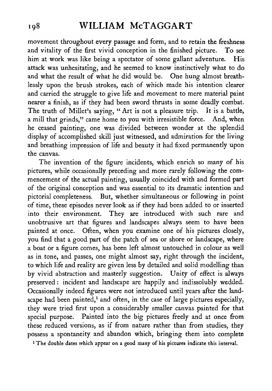movement throughout every passage and form, and to retain the freshness and vitality of the first vivid conception in the finished picture. To see him at work was like being a spectator of some gallant adventure. His attack was unhesitating, and he seemed to know instinctively what to do and what the result of what he did would be. One hung almost breathlessly upon the brush strokes, each of which made his intention clearer and carried the struggle to give life and movement to mere material paint nearer a finish, as if they had been sword thrusts in some deadly combat. The truth of Millet's saying, " Art is not a pleasure trip. It is a battle, a mill that grinds," came home to you with irresistible force. And, when he ceased painting, one was divided between wonder at the splendid display of accomplished skill just witnessed, and admiration for the living and breathing impression of life and beauty it had fixed permanently upon the canvas.

The invention of the figure incidents, which enrich so many of his pictures, while occasionally preceding and more rarely following the com mencement of the actual painting, usually coincided with and formed part of the original conception and was essential to its dramatic intention and pictorial completeness. But, whether simultaneous or following in point of time, these episodes never look as if they had been added to or inserted into their environment. They are introduced with such rare and unobtrusive art that figures and landscapes always seem to have been painted at once. Often, when you examine one of his pictures closely, you find that a good part of the patch of sea or shore or landscape, where a boat or a figure comes, has been left almost untouched in colour as well as in tone, and passes, one might almost say, right through the incident, to which life and reality are given less by detailed and solid modelling than by vivid abstraction and masterly suggestion. Unity of effect is always preserved : incident and landscape are happily and indissolubly wedded. Occasionally indeed figures were not introduced until years after the landscape had been painted, $<sup>1</sup>$  and often, in the case of large pictures especially,</sup> they were tried first upon a considerably smaller canvas painted for that special purpose. Painted into the big pictures freely and at once from these reduced versions, as if from nature rather than from studies, they possess a spontaneity and abandon which, bringing them into complete

<sup>1</sup> The double dates which appear on a good many of his pictures indicate this interval.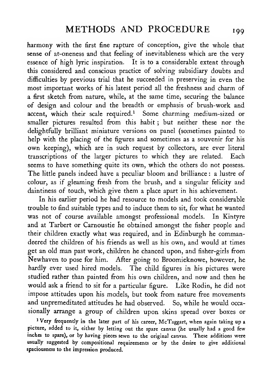harmony with the first fine rapture of conception, give the whole that sense of at-oneness and that feeling of inevitableness which are the very essence of high lyric inspiration. It is to a considerable extent through this considered and conscious practice of solving subsidiary doubts and difficulties by previous trial that he succeeded in preserving in even the most important works of his latest period all the freshness and charm of a first sketch from nature, while, at the same time, securing the balance of design and colour and the breadth or emphasis of brush-work and accent, which their scale required.<sup>1</sup> Some charming medium-sized or smaller pictures resulted from this habit ; but neither these nor the delightfully brilliant miniature versions on panel (sometimes painted to help with the placing of the figures and sometimes as a souvenir for his own keeping), which are in such request by collectors, are ever literal transcriptions of the larger pictures to which they are related. Each seems to have something quite its own, which the others do not possess. The little panels indeed have a peculiar bloom and brilliance : a lustre of colour, as if gleaming fresh from the brush, and a singular felicity and daintiness of touch, which give them a place apart in his achievement.

In his earlier period he had resource to models and took considerable trouble to find suitable types and to induce them to sit, for what he wanted was not of course available amongst professional models. In Kintyre and at Tarbert or Carnoustie he obtained amongst the fisher people and their children exactly what was required, and in Edinburgh he commandeered the children of his friends as well as his own, and would at times get an old man past work, children he chanced upon, and fisher-girls from Newhaven to pose for him. After going to Broomieknowe, however, he hardly ever used hired models. The child figures in his pictures were studied rather than painted from his own children, and now and then he would ask a friend to sit for <sup>a</sup> particular figure. Like Rodin, he did not impose attitudes upon his models, but took from nature free movements and unpremeditated attitudes he had observed. So, while he would occasionally arrange a group of children upon skins spread over boxes or

<sup>1</sup> Very frequently in the later part of his career, McTaggart, when again taking up <sup>a</sup> picture, added to it, either by letting out the spare canvas (he usually had <sup>a</sup> good few inches to spare), or by having pieces sewn to the original canvas. These additions were usually suggested by compositional requirements or by the desire to give additional spaciousness to the impression produced.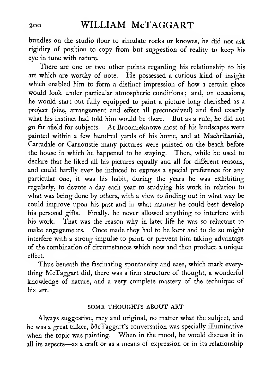bundles on the studio floor to simulate rocks or knowes, he did not ask rigidity of position to copy from but suggestion of reality to keep his eye in tune with nature.

There are one or two other points regarding his relationship to his art which are worthy of note. He possessed <sup>a</sup> curious kind of insight which enabled him to form a distinct impression of how a certain place would look under particular atmospheric conditions; and, on occasions, he would start out fully equipped to paint a picture long cherished as a project (size, arrangement and efFect all preconceived) and find exactly what his instinct had told him would be there. But as a rule, he did not go far afield for subjects. At Broomieknowe most of his landscapes were painted within a few hundred yards of his home, and at Machrihanish, Carradale or Carnoustie many pictures were painted on the beach before the house in which he happened to be staying. Then, while he used to declare that he liked all his pictures equally and all for different reasons, and could hardly ever be induced to express a special preference for any particular one, it was his habit, during the years he was exhibiting regularly, to devote a day each year to studying his work in relation to what was being done by others, with a view to finding out in what way be could improve upon his past and in what manner he could best develop his personal gifts. Finally, he never allowed anything to interfere with his work. That was the reason why in later life he was so reluctant to make engagements. Once made they had to be kept and to do so might interfere with a strong impulse to paint, or prevent him taking advantage of the combination of circumstances which now and then produce a unique effect.

Thus beneath the fascinating spontaneity and ease, which mark everything McTaggart did, there was a firm structure of thought, a wonderful knowledge of nature, and a very complete mastery of the technique of his art.

### SOME THOUGHTS ABOUT ART

Always suggestive, racy and original, no matter what the subject, and he was a great talker, McTaggart's conversation was specially illuminative when the topic was painting. When in the mood, he would discuss it in all its aspects—as <sup>a</sup> craft or as <sup>a</sup> means of expression or in its relationship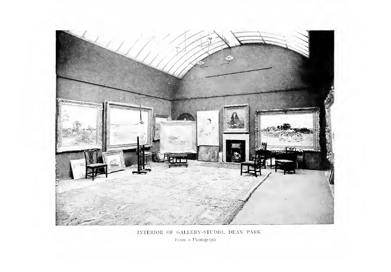

INTERIOR OF GALLERY-STUDIO, DEAN PARK

From a Photograph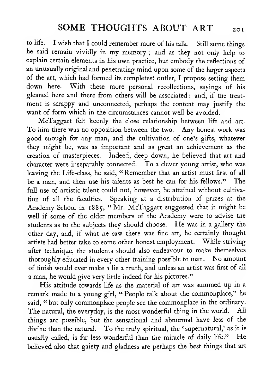to life. <sup>I</sup> wish that <sup>I</sup> could remember more of his talk. Still some things he said remain vividly in my memory ; and as they not only help to explain certain elements in his own practice, but embody the reflections of an unusually original and penetrating mind upon some of the larger aspects of the art, which had formed its completest outlet, <sup>I</sup> propose setting them down here. With these more personal recollections, sayings of his gleaned here and there from others will be associated : and, if the treat ment is scrappy and unconnected, perhaps the content may justify the want of form which in the circumstances cannot well be avoided.

McTaggart felt keenly the close relationship between life and art. To him there was no opposition between the two. Any honest work was good enough for any man, and the cultivation of one's gifts, whatever they might be, was as important and as great an achievement as the creation of masterpieces. Indeed, deep down, he believed that art and character were inseparably connected. To a clever young artist, who was leaving the Life-class, he said, " Remember that an artist must first of all be <sup>a</sup> man, and then use his talents as best he can for his fellows." The full use of artistic talent could not, however, be attained without cultivation of all the faculties. Speaking at a distribution of prizes at the Academy School in 1885, "Mr. McTaggart suggested that it might be well if some of the older members of the Academy were to advise the students as to the subjects they should choose. He was in <sup>a</sup> gallery the other day, and, if what he saw there was fine art, he certainly thought artists had better take to some other honest employment. While striving after technique, the students should also endeavour to make themselves thoroughly educated in every other training possible to man. No amount of finish would ever make a lie a truth, and unless an artist was first of all a man, he would give very little indeed for his pictures."

His attitude towards life as the material of art was summed up in <sup>a</sup> remark made to a young girl, "People talk about the commonplace," he said, " but only commonplace people see the commonplace in the ordinary. The natural, the everyday, is the most wonderful thing in the world. All things are possible, but the sensational and abnormal have less of the divine than the natural. To the truly spiritual, the 'supernatural,' as it is usually called, is far less wonderful than the miracle of daily life." He believed also that gaiety and gladness are perhaps the best things that art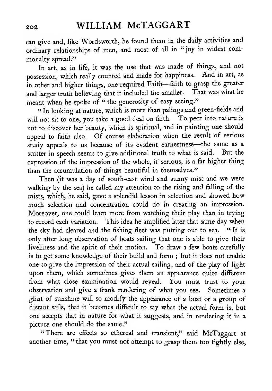can give and, like Wordsworth, he found them in the daily activities and ordinary relationships of men, and most of all in "joy in widest commonalty spread."

In art, as in life, it was the use that was made of things, and not possession, which really counted and made for happiness. And in art, as in other and higher things, one required Faith—faith to grasp the greater and larger truth believing that it included the smaller. That was what he meant when he spoke of " the generosity of easy seeing."

" In looking at nature, which is more than palings and green-fields and will not sit to one, you take a good deal on faith. To peer into nature is not to discover her beauty, which is spiritual, and in painting one should appeal to faith also. Of course elaboration when the result of serious study appeals to us because of its evident earnestness—the same as a stutter in speech seems to give additional truth to what is said. But the stutter in speech seems to give additional truth to what is said. expression of the impression of the whole, if serious, is a far higher thing than the accumulation of things beautiful in themselves."

Then (it was <sup>a</sup> day of south-east wind and sunny mist and we were walking by the sea) he called my attention to the rising and falling of the mists, which, he said, gave <sup>a</sup> splendid lesson in selection and showed how much selection and concentration could do in creating an impression. Moreover, one could learn more from watching their play than in trying to record each variation. This idea he amplified later that same day when the sky had cleared and the fishing fleet was putting out to sea. " It is only after long observation of boats sailing that one is able to give their liveliness and the spirit of their motion. To draw <sup>a</sup> few boats carefully is to get some knowledge of their build and form ; but it does not enable one to give the impression of their actual sailing, and of the play of light upon them, which sometimes gives them an appearance quite different from what close examination would reveal. You must trust to your observation and give a frank rendering of what you see. Sometimes a glint of sunshine will so modify the appearance of a boat or a group of distant sails, that it becomes difficult to say what the actual form is, but one accepts that in nature for what it suggests, and in rendering it in a picture one should do the same."

"There are effects so ethereal and transient," said McTaggart at another time, " that you must not attempt to grasp them too tightly else,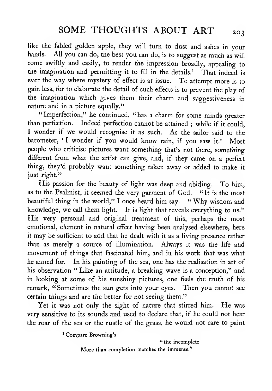like the febled golden apple, they will turn to dust and ashes in your hands. All you can do, the best you can do, is to suggest as much as will come swiftly and easily, to render the impression broadly, appealing to the imagination and permitting it to fill in the details.<sup>1</sup> That indeed is ever the way where mystery of effect is at issue. To attempt more is to gain less, for to elaborate the detail of such effects is to prevent the play of the imagination which gives them their charm and suggestiveness in nature and in a picture equally."

" Imperfection," he continued, "has a charm for some minds greater than perfection. Indeed perfection cannot be attained ; while if it could, <sup>I</sup> wonder if we would recognise it as such. As the sailor said to the barometer, 'I wonder if you would know rain, if you saw it.' Most people who criticise pictures want something that's not there, something different from what the artist can give, and, if they came on <sup>a</sup> perfect thing, they'd probably want something taken away or added to make it just right."

His passion for the beauty of light was deep and abiding. To him, as to the Psalmist, it seemed the very garment of God. " It is the most beautiful thing in the world," I once heard him say. " Why wisdom and knowledge, we call them light. It is light that reveals everything to us." His very personal and original treatment of this, perhaps the most emotional, element in natural effect having been analysed elsewhere, here it may be sufficient to add that he dealt with it as a living presence rather than as merely a source of illumination. Always it was the life and movement of things that fascinated him, and in his work that was what he aimed for. In his painting of the sea, one has the realisation in art of his observation " Like an attitude, a breaking wave is a conception," and in looking at some of his sunshiny pictures, one feels the truth of his remark, "Sometimes the sun gets into your eyes. Then you cannot see certain things and are the better for not seeing them."

Yet it was not only the sight of nature that stirred him. He was very sensitive to its sounds and used to declare that, if he could not hear the roar of the sea or the rustle of the grass, he would not care to paint

<sup>1</sup> Compare Browning's

" the incomplete More than completion matches the immense."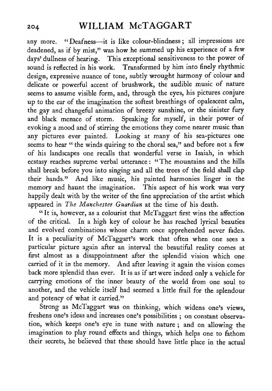any more. "Deafness-it is like colour-blindness; all impressions are deadened, as if by mist," was how he summed up his experience of <sup>a</sup> few days' dullness of hearing. This exceptional sensitiveness to the power of sound is reflected in his work. Transformed by him into finely rhythmic design, expressive nuance of tone, subtly wrought harmony of colour and delicate or powerful accent of brushwork, the audible music of nature seems to assume visible form, and, through the eyes, his pictures conjure up to the ear of the imagination the softest breathings of opalescent calm, the gay and changeful animation of breezy sunshine, or the sinister fury and black menace of storm. Speaking for myself, in their power of evoking <sup>a</sup> mood and of stirring the emotions they come nearer music than any pictures ever painted. Looking at many of his sea-pictures one seems to hear " the winds quiring to the choral sea," and before not a few of his landscapes one recalls that wonderful verse in Isaiah, in which ecstasy reaches supreme verbal utterance : "The mountains and the hills shall break before you into singing and all the trees of the field shall clap their hands." And like music, his painted harmonies linger in the memory and haunt the imagination. This aspect of his work was very happily dealt with by the writer of the fine appreciation of the artist which appeared in The Manchester Guardian at the time of his death.

"It is, however, as a colourist that McTaggart first wins the affection of the critical. In a high key of colour he has reached lyrical beauties and evolved combinations whose charm once apprehended never fades. It is <sup>a</sup> peculiarity of McTaggart's work that often when one sees a particular picture again after an interval the beautiful reality comes at first almost as a disappointment after the splendid vision which one carried of it in the memory. And after leaving it again the vision comes back more splendid than ever. It is as if art were indeed only a vehicle for carrying emotions of the inner beauty of the world from one soul to another, and the vehicle itself had seemed a little frail for the splendour and potency of what it carried."

Strong as McTaggart was on thinking, which widens one's views, freshens one's ideas and increases one's possibilities ; on constant observation, which keeps one's eye in tune with nature ; and on allowing the imagination to play round effects and things, which helps one to fathom their secrets, he believed that these should have little place in the actual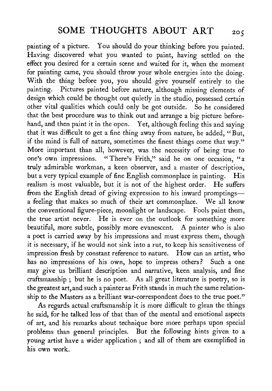painting of <sup>a</sup> picture. You should do your thinking before you painted. Having discovered what you wanted to paint, having settled on the effect you desired for <sup>a</sup> certain scene and waited for it, when the moment for painting came, you should throw your whole energies into the doing. With the thing before you, you should give yourself entirely to the painting. Pictures painted before nature, although missing elements of design which could be thought out quietly in the studio, possessed certain other vital qualities which could only be got outside. So he considered that the best procedure was to think out and arrange a big picture beforehand, and then paint it in the open. Yet, although feeling this and saying that it was difficult to get a fine thing away from nature, he added, " But, if the mind is full of nature, sometimes the finest things come that way." More important than all, however, was the necessity of being true to one's own impressions. "There's Frith," said he on one occasion, "a truly admirable workman, a keen observer, and a master of description, but a very typical example of fine English commonplace in painting. His realism is most valuable, but it is not of the highest order. He suffers from the English dread of giving expression to his inward promptings a feeling that makes so much of their art commonplace. We all know the conventional figure-piece, moonlight or landscape. Fools paint them, the true artist never. He is ever on the outlook for something more beautiful, more subtle, possibly more evanescent. A painter who is also a poet is carried away by his impressions and must express them, though it is necessary, if he would not sink into a rut, to keep his sensitiveness of impression fresh by constant reference to nature. How can an artist, who has no impressions of his own, hope to impress others? Such a one may give us brilliant description and narrative, keen analysis, and fine craftsmanship ; but he is no poet. As all great literature is poetry, so is the greatest art, and such <sup>a</sup> painter as Frith stands in much the same relationship to the Masters as a brilliant war-correspondent does to the true poet."

As regards actual craftsmanship it is more difficult to glean the things he said, for he talked less of that than of the mental and emotional aspects of art, and his remarks about technique bore more perhaps upon special problems than general principles. But the following hints given to a young artist have a wider application ; and all of them are exemplified in his own work.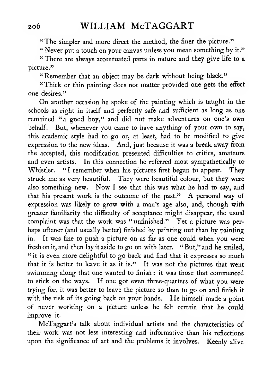" The simpler and more direct the method, the finer the picture."

" Never put <sup>a</sup> touch on your canvas unless you mean something by it."

" There are always accentuated parts in nature and they give life to a picture."

" Remember that an object may be dark without being black."

" Thick or thin painting does not matter provided one gets the effect one desires."

On another occasion he spoke of the painting which is taught in the schools as right in itself and perfectly safe and sufficient as long as one remained "a good boy," and did not make adventures on one's own behalf. But, whenever you came to have anything of your own to say, this academic style had to go or, at least, had to be modified to give expression to the new ideas. And, just because it was a break away from the accepted, this modification presented difficulties to critics, amateurs and even artists. In this connection he referred most sympathetically to Whistler. "I remember when his pictures first began to appear. They struck me as very beautiful. They were beautiful colour, but they were also something new. Now <sup>I</sup> see that this was what he had to say, and that his present work is the outcome of the past." A personal way of expression was likely to grow with a man's age also, and, though with greater familiarity the difficulty of acceptance might disappear, the usual complaint was that the work was "unfinished." Yet a picture was perhaps oftener (and usually better) finished by painting out than by painting in. It was fine to push a picture on as far as one could when you were fresh on it, and then lay it aside to go on with later. " But," and he smiled, " it is even more delightful to go back and find that it expresses so much that it is better to leave it as it is." It was not the pictures that went swimming along that one wanted to finish : it was those that commenced to stick on the ways. If one got even three-quarters of what you were trying for, it was better to leave the picture so than to go on and finish it with the risk of its going back on your hands. He himself made <sup>a</sup> point of never working on a picture unless he felt certain that he could improve it.

McTaggart's talk about individual artists and the characteristics of their work was not less interesting and informative than his reflections upon the significance of art and the problems it involves. Keenly alive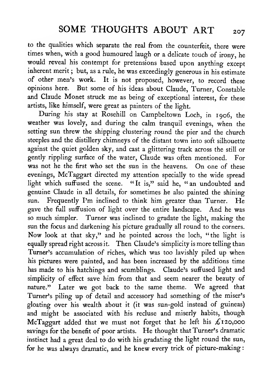to the qualities which separate the real from the counterfeit, there were times when, with <sup>a</sup> good humoured laugh or <sup>a</sup> delicate touch of irony, he would reveal his contempt for pretensions based upon anything except inherent merit ; but, as <sup>a</sup> rule, he was exceedingly generous in his estimate of other men's work. It is not proposed, however, to record these opinions here. But some of his ideas about Claude, Turner, Constable and Claude Monet struck me as being of exceptional interest, for these artists, like himself, were great as painters of the light.

During his stay at Rosehill on Campbeltown Loch, in 1906, the weather was lovely, and during the calm tranquil evenings, when the setting sun threw the shipping clustering round the pier and the church steeples and the distillery chimneys of the distant town into soft silhouette against the quiet golden sky, and cast a glittering track across the still or gently rippling surface of the water, Claude was often mentioned. For was not he the first who set the sun in the heavens. On one of these evenings, McTaggart directed my attention specially to the wide spread light which suffused the scene. "It is," said he, "an undoubted and genuine Claude in all details, for sometimes he also painted the shining sun. Frequently I'm inclined to think him greater than Turner. He gave the full suffusion of light over the entire landscape. And he was so much simpler. Turner was inclined to gradate the light, making the sun the focus and darkening his picture gradually all round to the corners. Now look at that sky," and he pointed across the loch, "the light is equally spread right across it. Then Claude's simplicity is more telling than Turner's accumulation of riches, which was too lavishly piled up when his pictures were painted, and has been increased by the additions time has made to his hatchings and scumblings. Claude's suffused light and simplicity of effect save him from that and seem nearer the beauty of nature." Later we got back to the same theme. We agreed that Turner's piling up of detail and accessory had something of the miser's gloating over his wealth about it (it was sun-gold instead of guineas) and might be associated with his recluse and miserly habits, though McTaggart added that we must not forget that he left his £120,000 savings for the benefit of poor artists. He thought that Turner's dramatic instinct had a great deal to do with his gradating the light round the sun, for he was always dramatic, and he knew every trick of picture-making